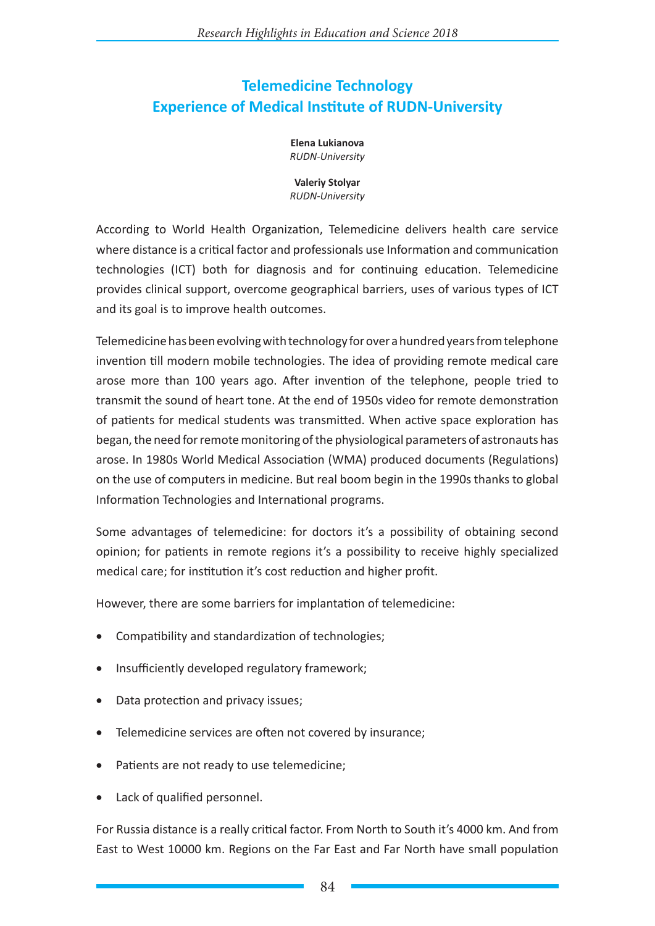## **Telemedicine Technology Experience of Medical Institute of RUDN-University**

**Elena Lukianova** *RUDN-University*

**Valeriy Stolyar** *RUDN-University*

According to World Health Organization, Telemedicine delivers health care service where distance is a critical factor and professionals use Information and communication technologies (ICT) both for diagnosis and for continuing education. Telemedicine provides clinical support, overcome geographical barriers, uses of various types of ICT and its goal is to improve health outcomes.

Telemedicine has been evolving with technology for over a hundred years from telephone invention till modern mobile technologies. The idea of providing remote medical care arose more than 100 years ago. After invention of the telephone, people tried to transmit the sound of heart tone. At the end of 1950s video for remote demonstration of patients for medical students was transmitted. When active space exploration has began, the need for remote monitoring of the physiological parameters of astronauts has arose. In 1980s World Medical Association (WMA) produced documents (Regulations) on the use of computers in medicine. But real boom begin in the 1990s thanks to global Information Technologies and International programs.

Some advantages of telemedicine: for doctors it's a possibility of obtaining second opinion; for patients in remote regions it's a possibility to receive highly specialized medical care; for institution it's cost reduction and higher profit.

However, there are some barriers for implantation of telemedicine:

- Compatibility and standardization of technologies;
- Insufficiently developed regulatory framework;
- Data protection and privacy issues;
- Telemedicine services are often not covered by insurance;
- Patients are not ready to use telemedicine;
- Lack of qualified personnel.

For Russia distance is a really critical factor. From North to South it's 4000 km. And from East to West 10000 km. Regions on the Far East and Far North have small population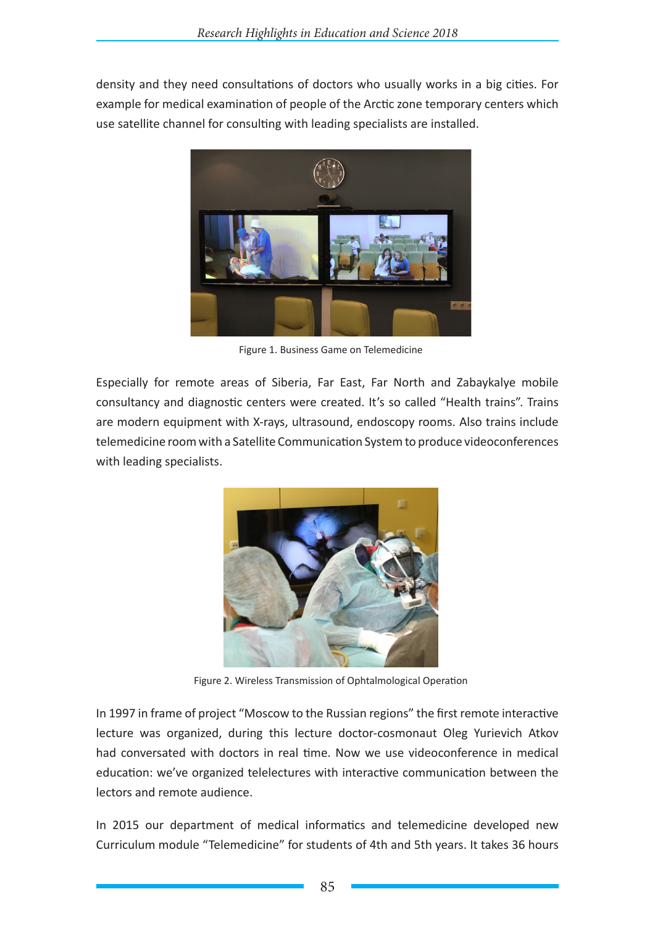density and they need consultations of doctors who usually works in a big cities. For example for medical examination of people of the Arctic zone temporary centers which use satellite channel for consulting with leading specialists are installed.



Figure 1. Business Game on Telemedicine

Especially for remote areas of Siberia, Far East, Far North and Zabaykalye mobile consultancy and diagnostic centers were created. It's so called "Health trains". Trains are modern equipment with X-rays, ultrasound, endoscopy rooms. Also trains include telemedicine room with a Satellite Communication System to produce videoconferences with leading specialists.



Figure 2. Wireless Transmission of Ophtalmological Operation

In 1997 in frame of project "Moscow to the Russian regions" the first remote interactive lecture was organized, during this lecture doctor-cosmonaut Oleg Yurievich Atkov had conversated with doctors in real time. Now we use videoconference in medical education: we've organized telelectures with interactive communication between the lectors and remote audience.

In 2015 our department of medical informatics and telemedicine developed new Curriculum module "Telemedicine" for students of 4th and 5th years. It takes 36 hours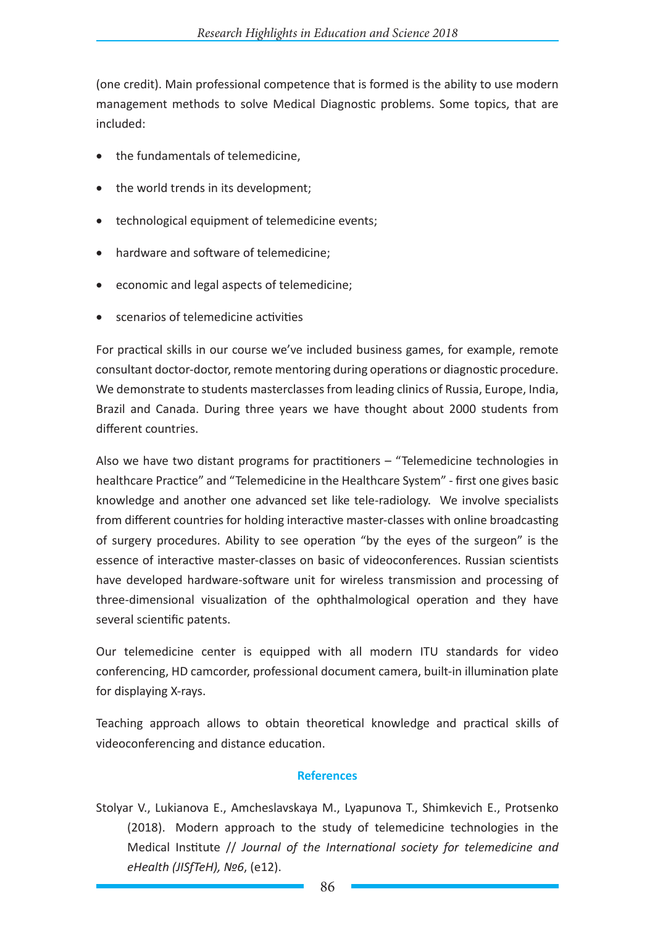(one credit). Main professional competence that is formed is the ability to use modern management methods to solve Medical Diagnostic problems. Some topics, that are included:

- the fundamentals of telemedicine,
- the world trends in its development:
- technological equipment of telemedicine events;
- hardware and software of telemedicine;
- • economic and legal aspects of telemedicine;
- scenarios of telemedicine activities

For practical skills in our course we've included business games, for example, remote consultant doctor-doctor, remote mentoring during operations or diagnostic procedure. We demonstrate to students masterclasses from leading clinics of Russia, Europe, India, Brazil and Canada. During three years we have thought about 2000 students from different countries.

Also we have two distant programs for practitioners – "Telemedicine technologies in healthcare Practice" and "Telemedicine in the Healthcare System" - first one gives basic knowledge and another one advanced set like tele-radiology. We involve specialists from different countries for holding interactive master-classes with online broadcasting of surgery procedures. Ability to see operation "by the eyes of the surgeon" is the essence of interactive master-classes on basic of videoconferences. Russian scientists have developed hardware-software unit for wireless transmission and processing of three-dimensional visualization of the ophthalmological operation and they have several scientific patents.

Our telemedicine center is equipped with all modern ITU standards for video conferencing, HD camcorder, professional document camera, built-in illumination plate for displaying X-rays.

Teaching approach allows to obtain theoretical knowledge and practical skills of videoconferencing and distance education.

## **References**

Stolyar V., Lukianova E., Amcheslavskaya M., Lyapunova T., Shimkevich E., Protsenko (2018). Modern approach to the study of telemedicine technologies in the Medical Institute // *Journal of the International society for telemedicine and eHealth (JISfTeH), №6*, (е12).